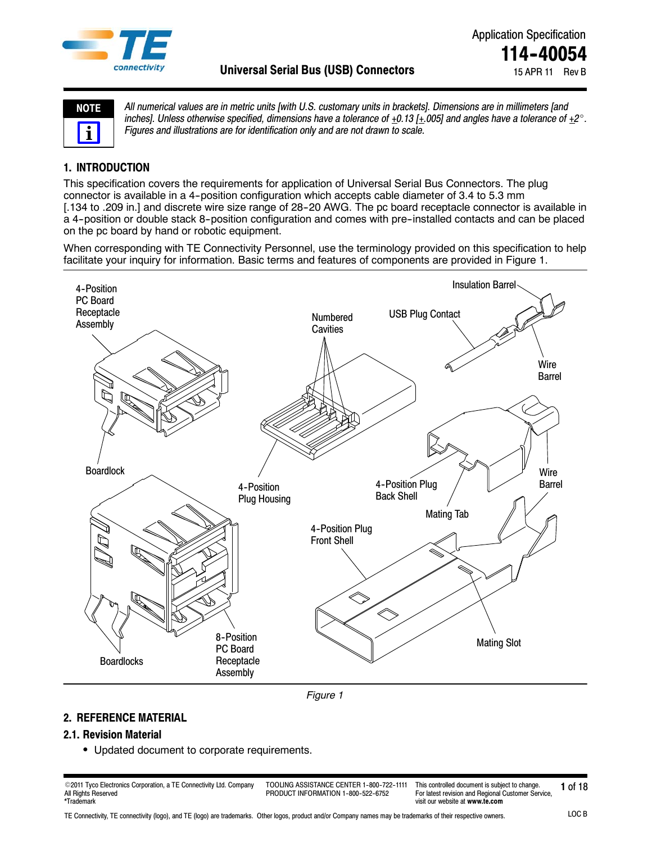

| C.<br>ı<br>е |  |
|--------------|--|
|              |  |

*All numerical values are in metric units [with U.S. customary units in brackets]. Dimensions are in millimeters [and* inches]. Unless otherwise specified, dimensions have a tolerance of  $+0.13$   $[+0.05]$  and angles have a tolerance of  $+2^\circ$ . *Figures and illustrations are for identification only and are not drawn to scale.*

# **1. INTRODUCTION**

This specification covers the requirements for application of Universal Serial Bus Connectors. The plug connector is available in a 4-position configuration which accepts cable diameter of 3.4 to 5.3 mm [.134 to .209 in.] and discrete wire size range of 28-20 AWG. The pc board receptacle connector is available in a 4-position or double stack 8-position configuration and comes with pre-installed contacts and can be placed on the pc board by hand or robotic equipment.

When corresponding with TE Connectivity Personnel, use the terminology provided on this specification to help facilitate your inquiry for information. Basic terms and features of components are provided in Figure 1.



*Figure 1*

## **2. REFERENCE MATERIAL**

## **2.1. Revision Material**

• Updated document to corporate requirements.

© 2011 Tyco Electronics Corporation, a TE Connectivity Ltd. Company TOOLING ASSISTANCE CENTER 1-800-722-1111 This controlled document is subject to change. 1 of 18 All Rights Reserved \*Trademark

TOOLING ASSISTANCE CENTER 1-800-722-1111 PRODUCT INFORMATION 1-800-522-6752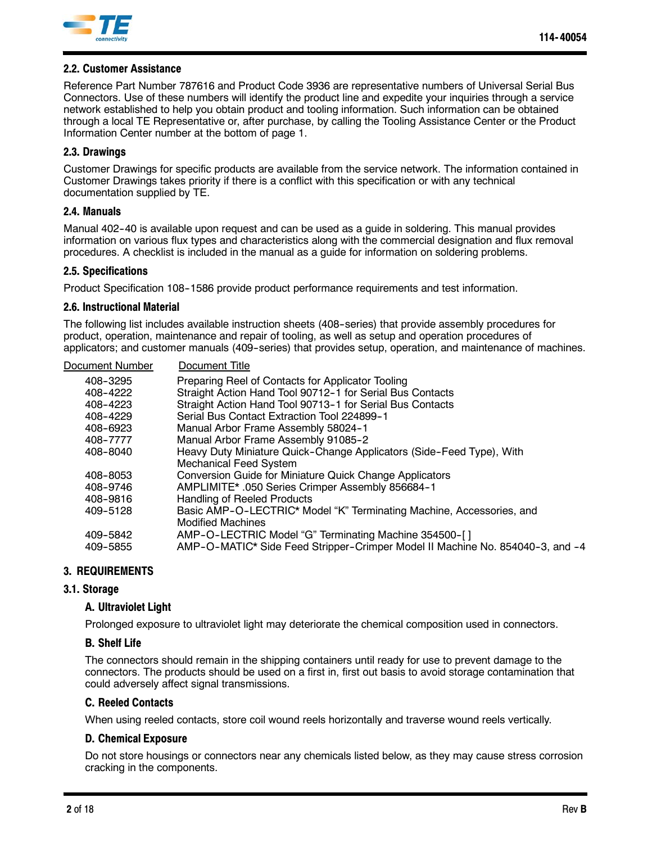

### **2.2. Customer Assistance**

Reference Part Number 787616 and Product Code 3936 are representative numbers of Universal Serial Bus Connectors. Use of these numbers will identify the product line and expedite your inquiries through a service network established to help you obtain product and tooling information. Such information can be obtained through a local TE Representative or, after purchase, by calling the Tooling Assistance Center or the Product Information Center number at the bottom of page 1.

### **2.3. Drawings**

Customer Drawings for specific products are available from the service network. The information contained in Customer Drawings takes priority if there is a conflict with this specification or with any technical documentation supplied by TE.

#### **2.4. Manuals**

Manual 402-40 is available upon request and can be used as a guide in soldering. This manual provides information on various flux types and characteristics along with the commercial designation and flux removal procedures. A checklist is included in the manual as a guide for information on soldering problems.

### **2.5. Specifications**

Product Specification 108-1586 provide product performance requirements and test information.

### **2.6. Instructional Material**

The following list includes available instruction sheets (408--series) that provide assembly procedures for product, operation, maintenance and repair of tooling, as well as setup and operation procedures of applicators; and customer manuals (409--series) that provides setup, operation, and maintenance of machines.

| Document Number | Document Title                                                                |
|-----------------|-------------------------------------------------------------------------------|
| 408-3295        | Preparing Reel of Contacts for Applicator Tooling                             |
| 408-4222        | Straight Action Hand Tool 90712-1 for Serial Bus Contacts                     |
| 408-4223        | Straight Action Hand Tool 90713-1 for Serial Bus Contacts                     |
| 408-4229        | Serial Bus Contact Extraction Tool 224899-1                                   |
| 408-6923        | Manual Arbor Frame Assembly 58024-1                                           |
| 408-7777        | Manual Arbor Frame Assembly 91085-2                                           |
| 408-8040        | Heavy Duty Miniature Quick-Change Applicators (Side-Feed Type), With          |
|                 | <b>Mechanical Feed System</b>                                                 |
| 408-8053        | Conversion Guide for Miniature Quick Change Applicators                       |
| 408-9746        | AMPLIMITE* .050 Series Crimper Assembly 856684-1                              |
| 408-9816        | <b>Handling of Reeled Products</b>                                            |
| 409-5128        | Basic AMP-O-LECTRIC* Model "K" Terminating Machine, Accessories, and          |
|                 | <b>Modified Machines</b>                                                      |
| 409-5842        | AMP-O-LECTRIC Model "G" Terminating Machine 354500-[]                         |
| 409-5855        | AMP-O-MATIC* Side Feed Stripper-Crimper Model II Machine No. 854040-3, and -4 |
|                 |                                                                               |

### **3. REQUIREMENTS**

### **3.1. Storage**

#### **A. Ultraviolet Light**

Prolonged exposure to ultraviolet light may deteriorate the chemical composition used in connectors.

#### **B. Shelf Life**

The connectors should remain in the shipping containers until ready for use to prevent damage to the connectors. The products should be used on a first in, first out basis to avoid storage contamination that could adversely affect signal transmissions.

### **C. Reeled Contacts**

When using reeled contacts, store coil wound reels horizontally and traverse wound reels vertically.

#### **D. Chemical Exposure**

Do not store housings or connectors near any chemicals listed below, as they may cause stress corrosion cracking in the components.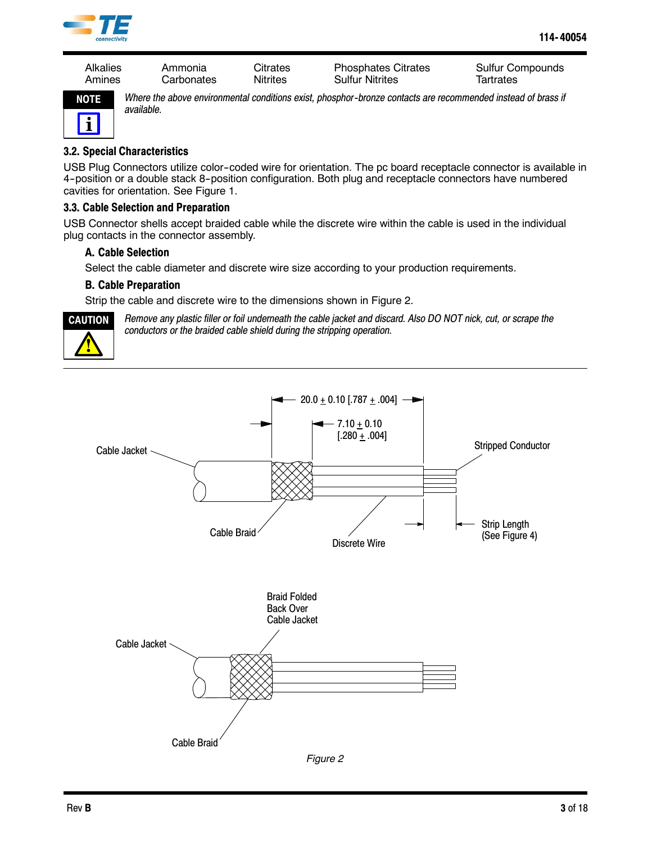

Alkalies Ammonia Citrates Phosphates Citrates Sulfur Compounds Amines Carbonates Nitrites Sulfur Nitrites Tartrates



*Where the above environmental conditions exist, phosphor--bronze contacts are recommended instead of brass if available.*

## **3.2. Special Characteristics**

USB Plug Connectors utilize color--coded wire for orientation. The pc board receptacle connector is available in 4-position or a double stack 8-position configuration. Both plug and receptacle connectors have numbered cavities for orientation. See Figure 1.

### **3.3. Cable Selection and Preparation**

USB Connector shells accept braided cable while the discrete wire within the cable is used in the individual plug contacts in the connector assembly.

### **A. Cable Selection**

Select the cable diameter and discrete wire size according to your production requirements.

### **B. Cable Preparation**

Strip the cable and discrete wire to the dimensions shown in Figure 2.



*Remove any plastic filler or foil underneath the cable jacket and discard. Also DO NOT nick, cut, or scrape the conductors or the braided cable shield during the stripping operation.*



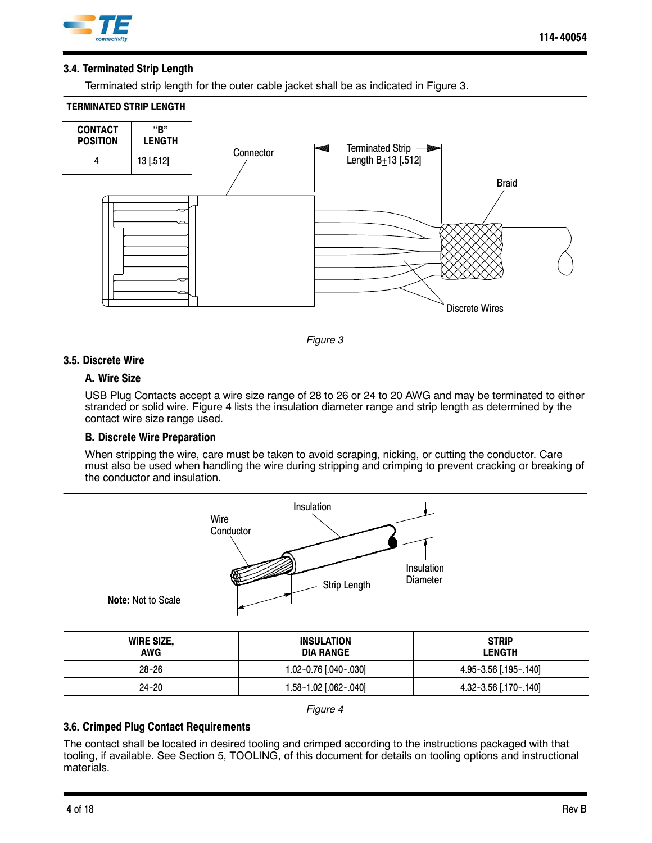

### **3.4. Terminated Strip Length**

Terminated strip length for the outer cable jacket shall be as indicated in Figure 3.

#### **TERMINATED STRIP LENGTH**





### **3.5. Discrete Wire**

#### **A. Wire Size**

USB Plug Contacts accept a wire size range of 28 to 26 or 24 to 20 AWG and may be terminated to either stranded or solid wire. Figure 4 lists the insulation diameter range and strip length as determined by the contact wire size range used.

### **B. Discrete Wire Preparation**

When stripping the wire, care must be taken to avoid scraping, nicking, or cutting the conductor. Care must also be used when handling the wire during stripping and crimping to prevent cracking or breaking of the conductor and insulation.



#### *Figure 4*

24-20 1.58-1.02 [.062-.040] 4.32-3.56 [.170-.140]

### **3.6. Crimped Plug Contact Requirements**

The contact shall be located in desired tooling and crimped according to the instructions packaged with that tooling, if available. See Section 5, TOOLING, of this document for details on tooling options and instructional materials.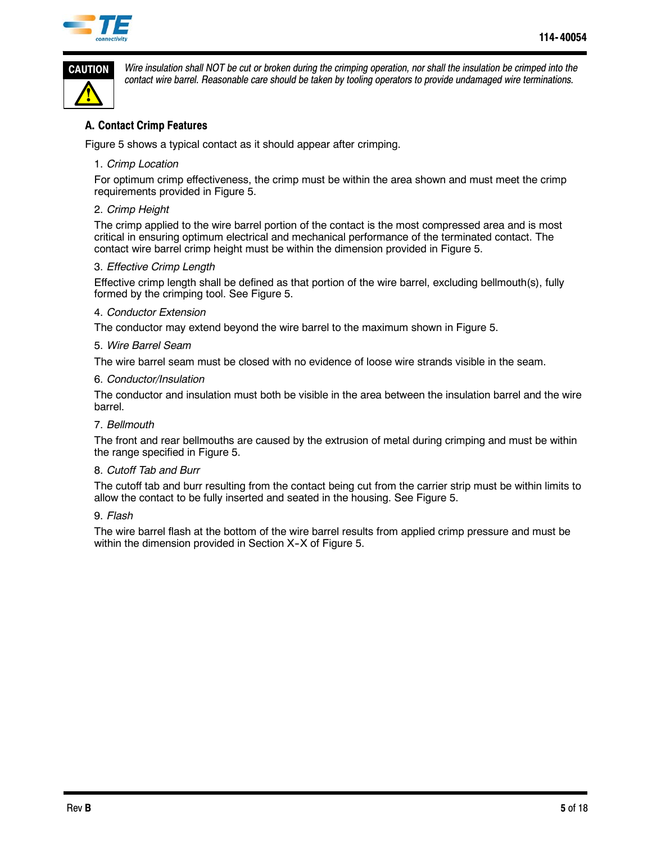



*Wire insulation shall NOT be cut or broken during the crimping operation, nor shall the insulation be crimped into the contact wire barrel. Reasonable care should be taken by tooling operators to provide undamaged wire terminations.*

## **A. Contact Crimp Features**

Figure 5 shows a typical contact as it should appear after crimping.

### 1. *Crimp Location*

For optimum crimp effectiveness, the crimp must be within the area shown and must meet the crimp requirements provided in Figure 5.

### 2. *Crimp Height*

The crimp applied to the wire barrel portion of the contact is the most compressed area and is most critical in ensuring optimum electrical and mechanical performance of the terminated contact. The contact wire barrel crimp height must be within the dimension provided in Figure 5.

### 3. *Effective Crimp Length*

Effective crimp length shall be defined as that portion of the wire barrel, excluding bellmouth(s), fully formed by the crimping tool. See Figure 5.

#### 4. *Conductor Extension*

The conductor may extend beyond the wire barrel to the maximum shown in Figure 5.

### 5. *Wire Barrel Seam*

The wire barrel seam must be closed with no evidence of loose wire strands visible in the seam.

### 6. *Conductor/Insulation*

The conductor and insulation must both be visible in the area between the insulation barrel and the wire barrel.

### 7. *Bellmouth*

The front and rear bellmouths are caused by the extrusion of metal during crimping and must be within the range specified in Figure 5.

### 8. *Cutoff Tab and Burr*

The cutoff tab and burr resulting from the contact being cut from the carrier strip must be within limits to allow the contact to be fully inserted and seated in the housing. See Figure 5.

#### 9. *Flash*

The wire barrel flash at the bottom of the wire barrel results from applied crimp pressure and must be within the dimension provided in Section X-X of Figure 5.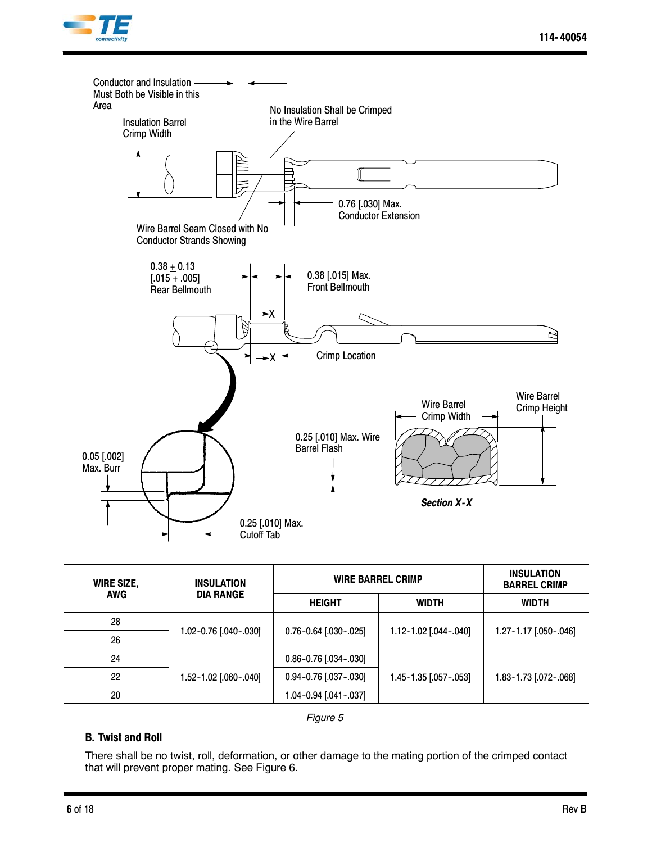



| <b>WIRE SIZE,</b> | <b>INSULATION</b><br><b>DIA RANGE</b> | <b>WIRE BARREL CRIMP</b>    | <b>INSULATION</b><br><b>BARREL CRIMP</b> |                       |
|-------------------|---------------------------------------|-----------------------------|------------------------------------------|-----------------------|
| <b>AWG</b>        |                                       | <b>HEIGHT</b><br>WIDTH      |                                          | <b>WIDTH</b>          |
| 28                |                                       |                             | 1.12-1.02 [.044-.040]                    |                       |
| 26                | 1.02-0.76 [.040-.030]                 | $0.76 - 0.64$ [.030 - .025] |                                          | 1.27-1.17 [.050-.046] |
| 24                |                                       | $0.86 - 0.76$ [.034 - .030] |                                          |                       |
| 22                | 1.52-1.02 [.060-.040]                 | 0.94-0.76 [.037-.030]       | 1.45-1.35 [.057-.053]                    | 1.83-1.73 [.072-.068] |
| 20                |                                       | $1.04 - 0.94$ [.041 - .037] |                                          |                       |

*Figure 5*

### **B. Twist and Roll**

There shall be no twist, roll, deformation, or other damage to the mating portion of the crimped contact that will prevent proper mating. See Figure 6.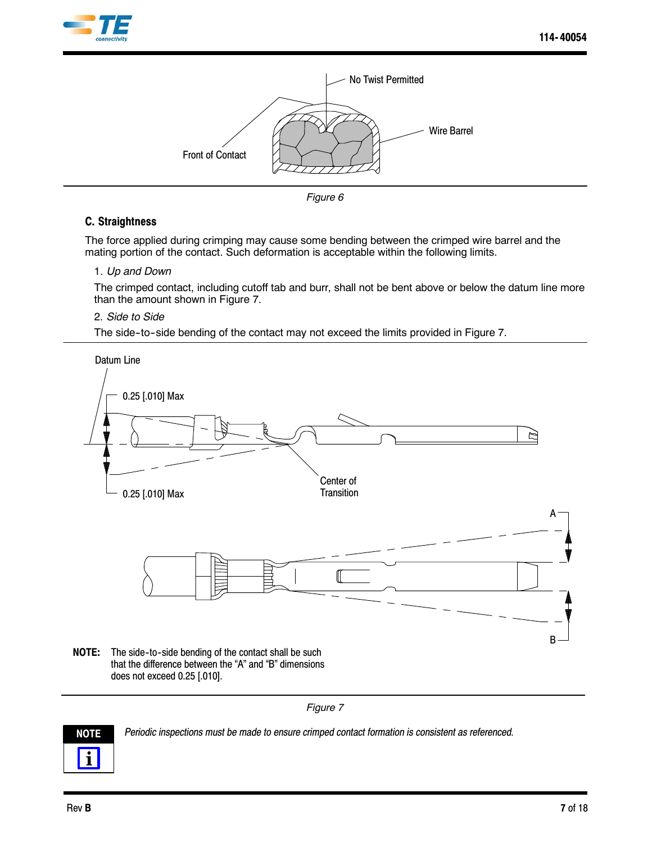



*Figure 6*

## **C. Straightness**

The force applied during crimping may cause some bending between the crimped wire barrel and the mating portion of the contact. Such deformation is acceptable within the following limits.

### 1. *Up and Down*

The crimped contact, including cutoff tab and burr, shall not be bent above or below the datum line more than the amount shown in Figure 7.

### 2. *Side to Side*

The side-to-side bending of the contact may not exceed the limits provided in Figure 7.



*Figure 7*



**NOTE** *Periodic inspections must be made to ensure crimped contact formation is consistent as referenced.*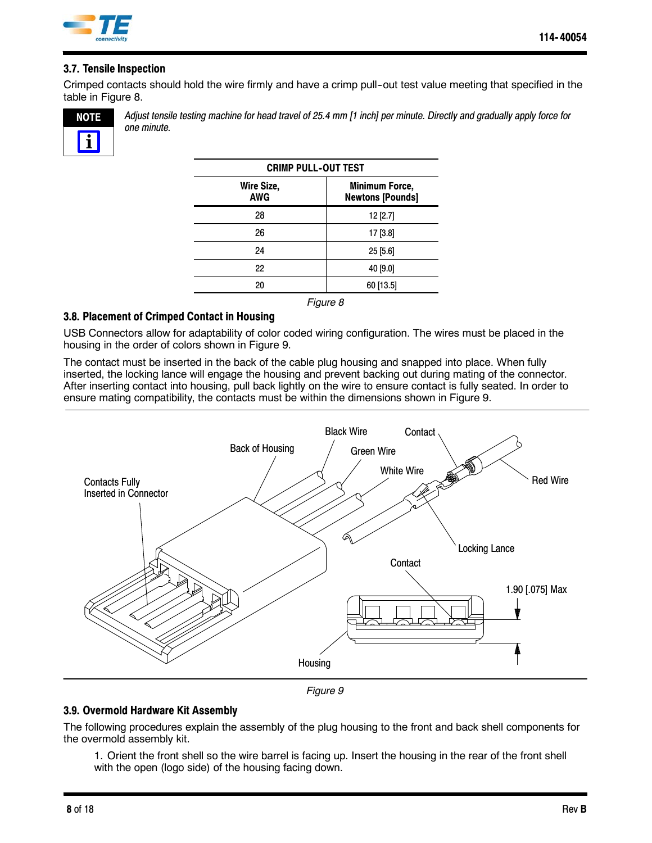

## **3.7. Tensile Inspection**

Crimped contacts should hold the wire firmly and have a crimp pull-out test value meeting that specified in the table in Figure 8.



*Adjust tensile testing machine for head travel of 25.4 mm [1 inch] per minute. Directly and gradually apply force for one minute.*

| <b>CRIMP PULL-OUT TEST</b> |                                                  |  |  |
|----------------------------|--------------------------------------------------|--|--|
| Wire Size,<br><b>AWG</b>   | <b>Minimum Force,</b><br><b>Newtons [Pounds]</b> |  |  |
| 28                         | $12$ [2.7]                                       |  |  |
| 26                         | 17 [3.8]                                         |  |  |
| 24                         | $25$ [5.6]                                       |  |  |
| 22                         | 40 [9.0]                                         |  |  |
| 20                         | 60 [13.5]                                        |  |  |

#### *Figure 8*

### **3.8. Placement of Crimped Contact in Housing**

USB Connectors allow for adaptability of color coded wiring configuration. The wires must be placed in the housing in the order of colors shown in Figure 9.

The contact must be inserted in the back of the cable plug housing and snapped into place. When fully inserted, the locking lance will engage the housing and prevent backing out during mating of the connector. After inserting contact into housing, pull back lightly on the wire to ensure contact is fully seated. In order to ensure mating compatibility, the contacts must be within the dimensions shown in Figure 9.



*Figure 9*

### **3.9. Overmold Hardware Kit Assembly**

The following procedures explain the assembly of the plug housing to the front and back shell components for the overmold assembly kit.

1. Orient the front shell so the wire barrel is facing up. Insert the housing in the rear of the front shell with the open (logo side) of the housing facing down.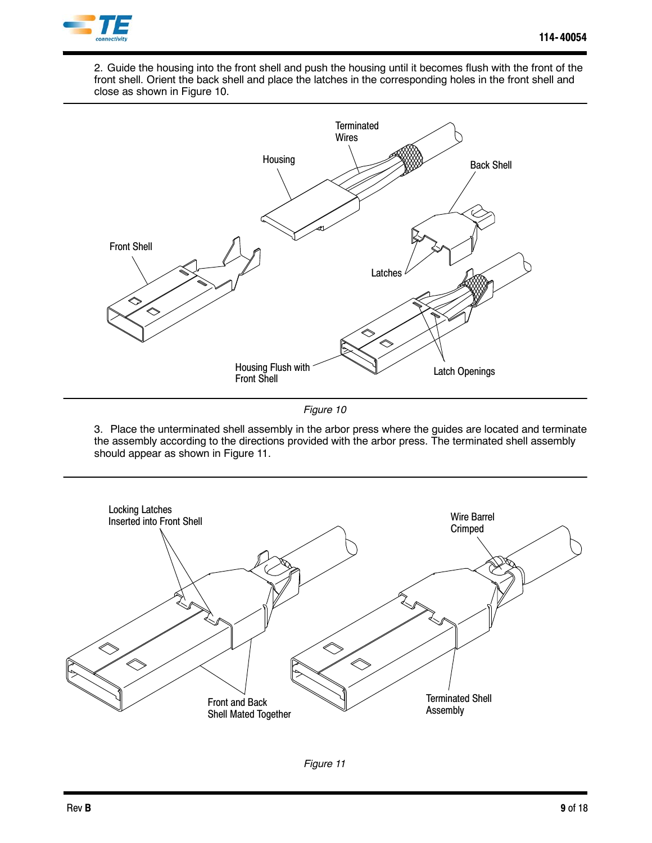

2. Guide the housing into the front shell and push the housing until it becomes flush with the front of the front shell. Orient the back shell and place the latches in the corresponding holes in the front shell and close as shown in Figure 10.



*Figure 10*

3. Place the unterminated shell assembly in the arbor press where the guides are located and terminate the assembly according to the directions provided with the arbor press. The terminated shell assembly should appear as shown in Figure 11.

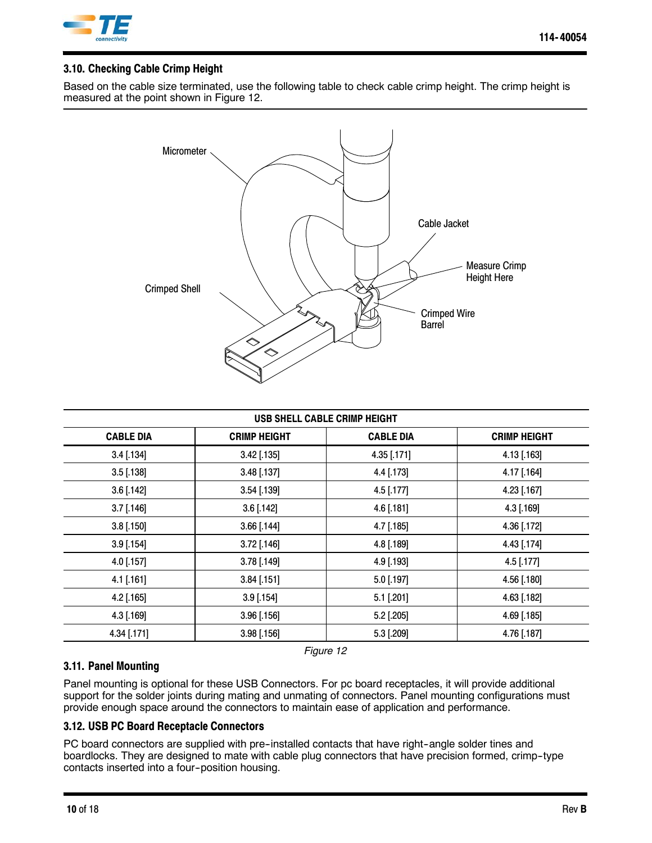

## **3.10. Checking Cable Crimp Height**

Based on the cable size terminated, use the following table to check cable crimp height. The crimp height is measured at the point shown in Figure 12.



| USB SHELL CABLE CRIMP HEIGHT |                     |                  |                     |  |
|------------------------------|---------------------|------------------|---------------------|--|
| <b>CABLE DIA</b>             | <b>CRIMP HEIGHT</b> | <b>CABLE DIA</b> | <b>CRIMP HEIGHT</b> |  |
| $3.4$ [.134]                 | $3.42$ [.135]       | 4.35 [.171]      | 4.13 [.163]         |  |
| $3.5$ [.138]                 | 3.48 [.137]         | 4.4 [.173]       | 4.17 [.164]         |  |
| $3.6$ [.142]                 | 3.54 [.139]         | 4.5 [.177]       | 4.23 [.167]         |  |
| $3.7$ [.146]                 | $3.6$ [.142]        | $4.6$ [.181]     | 4.3 [.169]          |  |
| $3.8$ [.150]                 | $3.66$ [.144]       | 4.7 [.185]       | 4.36 [.172]         |  |
| $3.9$ [.154]                 | 3.72 [.146]         | 4.8 [.189]       | 4.43 [.174]         |  |
| 4.0 [.157]                   | 3.78 [.149]         | 4.9 [.193]       | 4.5 [.177]          |  |
| 4.1 [.161]                   | $3.84$ [.151]       | 5.0 [.197]       | 4.56 [.180]         |  |
| 4.2 [.165]                   | $3.9$ [.154]        | $5.1$ [.201]     | 4.63 [.182]         |  |
| 4.3 [.169]                   | $3.96$ [.156]       | 5.2 [.205]       | 4.69 [.185]         |  |
| 4.34 [.171]                  | $3.98$ [.156]       | 5.3 [.209]       | 4.76 [.187]         |  |

*Figure 12*

## **3.11. Panel Mounting**

Panel mounting is optional for these USB Connectors. For pc board receptacles, it will provide additional support for the solder joints during mating and unmating of connectors. Panel mounting configurations must provide enough space around the connectors to maintain ease of application and performance.

# **3.12. USB PC Board Receptacle Connectors**

PC board connectors are supplied with pre-installed contacts that have right-angle solder tines and boardlocks. They are designed to mate with cable plug connectors that have precision formed, crimp--type contacts inserted into a four-position housing.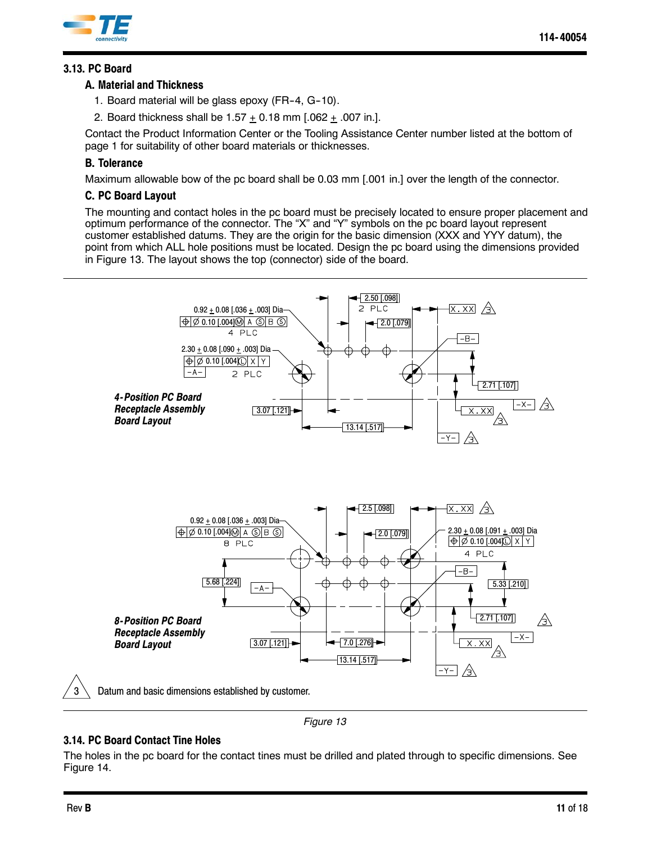

# **3.13. PC Board**

### **A. Material and Thickness**

- 1. Board material will be glass epoxy (FR-4, G-10).
- 2. Board thickness shall be  $1.57 + 0.18$  mm  $[.062 + .007$  in.].

Contact the Product Information Center or the Tooling Assistance Center number listed at the bottom of page 1 for suitability of other board materials or thicknesses.

## **B. Tolerance**

Maximum allowable bow of the pc board shall be 0.03 mm [.001 in.] over the length of the connector.

## **C. PC Board Layout**

The mounting and contact holes in the pc board must be precisely located to ensure proper placement and optimum performance of the connector. The "X" and "Y" symbols on the pc board layout represent customer established datums. They are the origin for the basic dimension (XXX and YYY datum), the point from which ALL hole positions must be located. Design the pc board using the dimensions provided in Figure 13. The layout shows the top (connector) side of the board.



*Figure 13*

### **3.14. PC Board Contact Tine Holes**

The holes in the pc board for the contact tines must be drilled and plated through to specific dimensions. See Figure 14.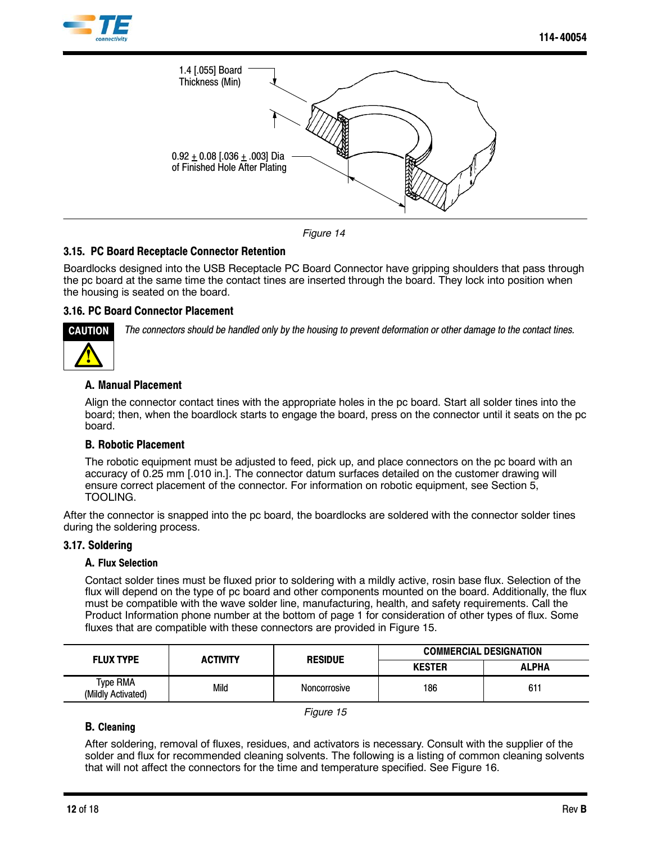



*Figure 14*

### **3.15. PC Board Receptacle Connector Retention**

Boardlocks designed into the USB Receptacle PC Board Connector have gripping shoulders that pass through the pc board at the same time the contact tines are inserted through the board. They lock into position when the housing is seated on the board.

### **3.16. PC Board Connector Placement**



*The connectors should be handled only by the housing to prevent deformation or other damage to the contact tines.*

### **A. Manual Placement**

Align the connector contact tines with the appropriate holes in the pc board. Start all solder tines into the board; then, when the boardlock starts to engage the board, press on the connector until it seats on the pc board.

### **B. Robotic Placement**

The robotic equipment must be adjusted to feed, pick up, and place connectors on the pc board with an accuracy of 0.25 mm [.010 in.]. The connector datum surfaces detailed on the customer drawing will ensure correct placement of the connector. For information on robotic equipment, see Section 5, TOOLING.

After the connector is snapped into the pc board, the boardlocks are soldered with the connector solder tines during the soldering process.

#### **3.17. Soldering**

#### **A. Flux Selection**

Contact solder tines must be fluxed prior to soldering with a mildly active, rosin base flux. Selection of the flux will depend on the type of pc board and other components mounted on the board. Additionally, the flux must be compatible with the wave solder line, manufacturing, health, and safety requirements. Call the Product Information phone number at the bottom of page 1 for consideration of other types of flux. Some fluxes that are compatible with these connectors are provided in Figure 15.

| <b>FLUX TYPE</b>               | <b>ACTIVITY</b> | <b>RESIDUE</b> | <b>COMMERCIAL DESIGNATION</b> |              |  |
|--------------------------------|-----------------|----------------|-------------------------------|--------------|--|
|                                |                 |                | <b>KESTER</b>                 | <b>ALPHA</b> |  |
| Type RMA<br>(Mildly Activated) | Mild            | Noncorrosive   | 186                           | 611          |  |

*Figure 15*

### **B. Cleaning**

After soldering, removal of fluxes, residues, and activators is necessary. Consult with the supplier of the solder and flux for recommended cleaning solvents. The following is a listing of common cleaning solvents that will not affect the connectors for the time and temperature specified. See Figure 16.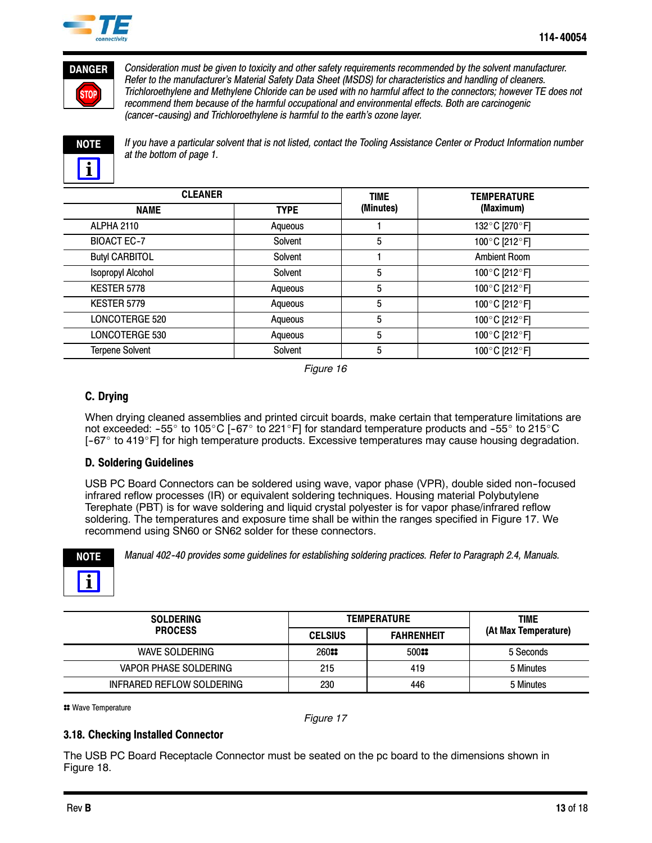



*Consideration must be given to toxicity and other safety requirements recommended by the solvent manufacturer. Refer to the manufacturer's Material Safety Data Sheet (MSDS) for characteristics and handling of cleaners. Trichloroethylene and Methylene Chloride can be used with no harmful affect to the connectors; however TE does not recommend them because of the harmful occupational and environmental effects. Both are carcinogenic (cancer--causing) and Trichloroethylene is harmful to the earth's ozone layer.*



*If you have a particular solvent that is not listed, contact the Tooling Assistance Center or Product Information number at the bottom of page 1.*

| <b>CLEANER</b>           |             | <b>TIME</b> | <b>TEMPERATURE</b>  |  |
|--------------------------|-------------|-------------|---------------------|--|
| <b>NAME</b>              | <b>TYPE</b> | (Minutes)   | (Maximum)           |  |
| <b>ALPHA 2110</b>        | Aqueous     |             | 132°C [270°F]       |  |
| <b>BIOACT EC-7</b>       | Solvent     | 5           | 100°C [212°F]       |  |
| <b>Butyl CARBITOL</b>    | Solvent     |             | <b>Ambient Room</b> |  |
| <b>Isopropyl Alcohol</b> | Solvent     | 5           | 100°C [212°F]       |  |
| KESTER 5778              | Aqueous     | 5           | 100°C [212°F]       |  |
| KESTER 5779              | Aqueous     | 5           | 100°C [212°F]       |  |
| <b>LONCOTERGE 520</b>    | Aqueous     | 5           | 100°C [212°F]       |  |
| LONCOTERGE 530           | Aqueous     | 5           | 100°C [212°F]       |  |
| <b>Terpene Solvent</b>   | Solvent     | 5           | 100°C [212°F]       |  |

*Figure 16*

## **C. Drying**

When drying cleaned assemblies and printed circuit boards, make certain that temperature limitations are not exceeded: -55 $\degree$  to 105 $\degree$ C [-67 $\degree$  to 221 $\degree$ F] for standard temperature products and -55 $\degree$  to 215 $\degree$ C  $[-67^\circ$  to 419 $^{\circ}$ F] for high temperature products. Excessive temperatures may cause housing degradation.

## **D. Soldering Guidelines**

USB PC Board Connectors can be soldered using wave, vapor phase (VPR), double sided non--focused infrared reflow processes (IR) or equivalent soldering techniques. Housing material Polybutylene Terephate (PBT) is for wave soldering and liquid crystal polyester is for vapor phase/infrared reflow soldering. The temperatures and exposure time shall be within the ranges specified in Figure 17. We recommend using SN60 or SN62 solder for these connectors.



*Manual 402--40 provides some guidelines for establishing soldering practices. Refer to Paragraph 2.4, Manuals.*

| <b>SOLDERING</b>             |                | <b>TEMPERATURE</b> | TIME                 |
|------------------------------|----------------|--------------------|----------------------|
| <b>PROCESS</b>               | <b>CELSIUS</b> | <b>FAHRENHEIT</b>  | (At Max Temperature) |
| <b>WAVE SOLDERING</b>        | 260::          | 50088              | 5 Seconds            |
| <b>VAPOR PHASE SOLDERING</b> | 215            | 419                | 5 Minutes            |
| INFRARED REFLOW SOLDERING    | 230            | 446                | 5 Minutes            |

**::** Wave Temperature

*Figure 17*

### **3.18. Checking Installed Connector**

The USB PC Board Receptacle Connector must be seated on the pc board to the dimensions shown in Figure 18.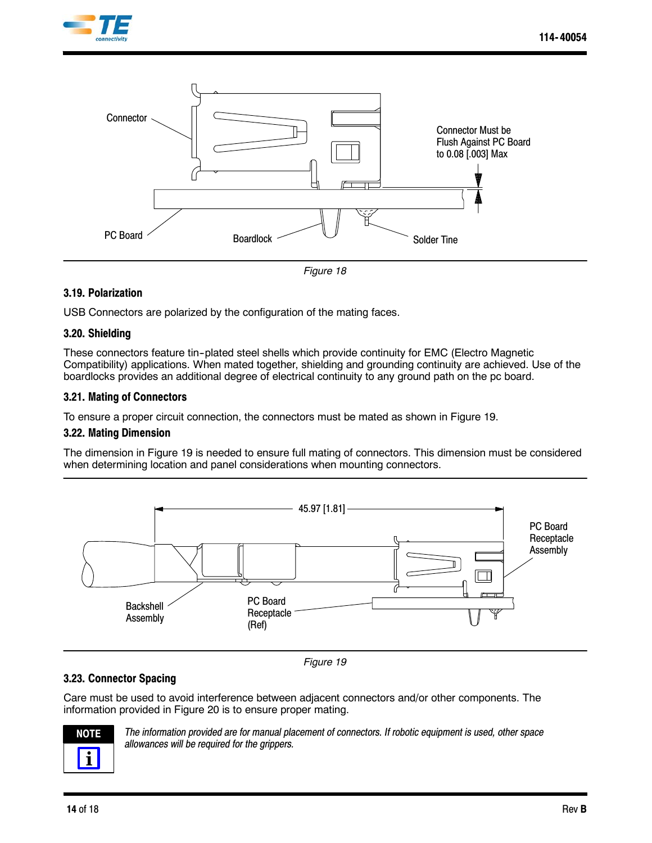



*Figure 18*

### **3.19. Polarization**

USB Connectors are polarized by the configuration of the mating faces.

#### **3.20. Shielding**

These connectors feature tin--plated steel shells which provide continuity for EMC (Electro Magnetic Compatibility) applications. When mated together, shielding and grounding continuity are achieved. Use of the boardlocks provides an additional degree of electrical continuity to any ground path on the pc board.

#### **3.21. Mating of Connectors**

To ensure a proper circuit connection, the connectors must be mated as shown in Figure 19.

#### **3.22. Mating Dimension**

The dimension in Figure 19 is needed to ensure full mating of connectors. This dimension must be considered when determining location and panel considerations when mounting connectors.



*Figure 19*

### **3.23. Connector Spacing**

Care must be used to avoid interference between adjacent connectors and/or other components. The information provided in Figure 20 is to ensure proper mating.



*The information provided are for manual placement of connectors. If robotic equipment is used, other space allowances will be required for the grippers.*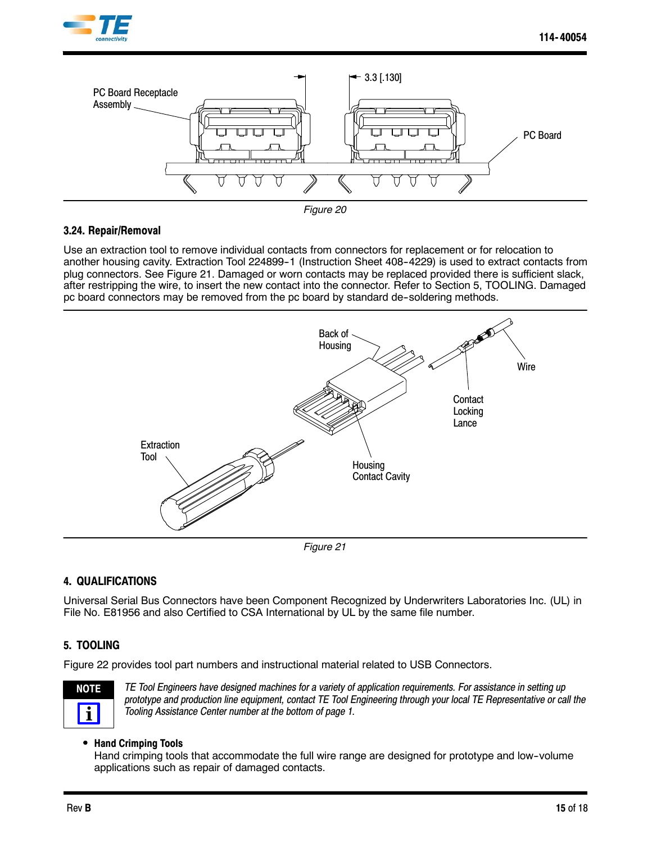





### **3.24. Repair/Removal**

Use an extraction tool to remove individual contacts from connectors for replacement or for relocation to another housing cavity. Extraction Tool 224899-1 (Instruction Sheet 408-4229) is used to extract contacts from plug connectors. See Figure 21. Damaged or worn contacts may be replaced provided there is sufficient slack, after restripping the wire, to insert the new contact into the connector. Refer to Section 5, TOOLING. Damaged pc board connectors may be removed from the pc board by standard de--soldering methods.



*Figure 21*

## **4. QUALIFICATIONS**

Universal Serial Bus Connectors have been Component Recognized by Underwriters Laboratories Inc. (UL) in File No. E81956 and also Certified to CSA International by UL by the same file number.

## **5. TOOLING**

Figure 22 provides tool part numbers and instructional material related to USB Connectors.



*TE Tool Engineers have designed machines for a variety of application requirements. For assistance in setting up prototype and production line equipment, contact TE Tool Engineering through your local TE Representative or call the Tooling Assistance Center number at the bottom of page 1.*

### **• Hand Crimping Tools**

Hand crimping tools that accommodate the full wire range are designed for prototype and low--volume applications such as repair of damaged contacts.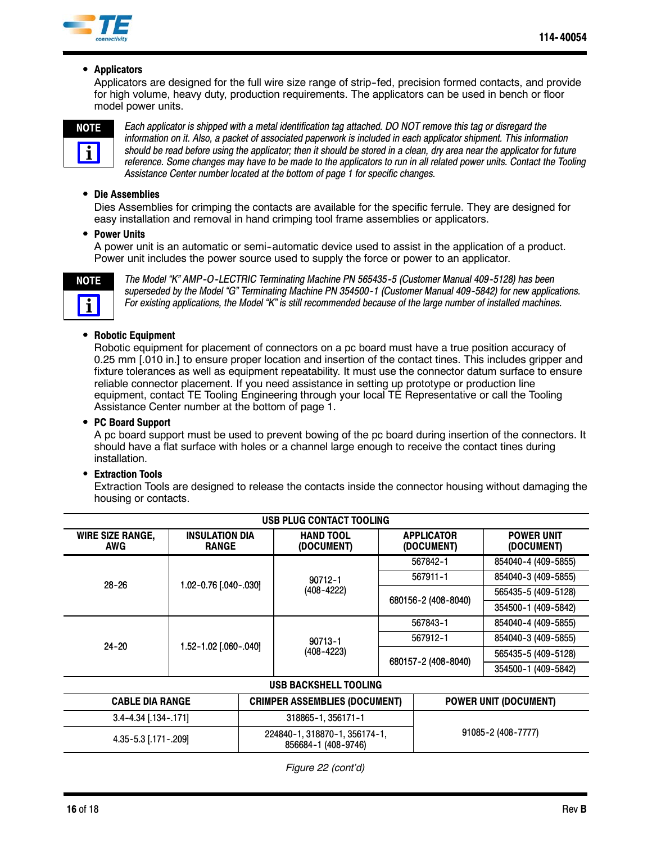

### **•** Applicators

Applicators are designed for the full wire size range of strip-fed, precision formed contacts, and provide for high volume, heavy duty, production requirements. The applicators can be used in bench or floor model power units.



*Each applicator is shipped with a metal identification tag attached. DO NOT remove this tag or disregard the information on it. Also, a packet of associated paperwork is included in each applicator shipment. This information should be read before using the applicator; then it should be stored in a clean, dry area near the applicator for future reference. Some changes may have to be made to the applicators to run in all related power units. Contact the Tooling Assistance Center number located at the bottom of page 1 for specific changes.*

#### **• Die Assemblies**

Dies Assemblies for crimping the contacts are available for the specific ferrule. They are designed for easy installation and removal in hand crimping tool frame assemblies or applicators.

#### **• Power Units**

A power unit is an automatic or semi--automatic device used to assist in the application of a product. Power unit includes the power source used to supply the force or power to an applicator.



*The Model "K" AMP--O--LECTRIC Terminating Machine PN 565435--5 (Customer Manual 409--5128) has been superseded by the Model "G" Terminating Machine PN 354500--1 (Customer Manual 409--5842) for new applications. For existing applications, the Model "K" is still recommended because of the large number of installed machines.*

### **• Robotic Equipment**

Robotic equipment for placement of connectors on a pc board must have a true position accuracy of 0.25 mm [.010 in.] to ensure proper location and insertion of the contact tines. This includes gripper and fixture tolerances as well as equipment repeatability. It must use the connector datum surface to ensure reliable connector placement. If you need assistance in setting up prototype or production line equipment, contact TE Tooling Engineering through your local TE Representative or call the Tooling Assistance Center number at the bottom of page 1.

#### **• PC Board Support**

A pc board support must be used to prevent bowing of the pc board during insertion of the connectors. It should have a flat surface with holes or a channel large enough to receive the contact tines during installation.

#### **• Extraction Tools**

Extraction Tools are designed to release the contacts inside the connector housing without damaging the housing or contacts.

| USB PLUG CONTACT TOOLING       |                                       |                                                      |                                      |                     |                                 |                                 |
|--------------------------------|---------------------------------------|------------------------------------------------------|--------------------------------------|---------------------|---------------------------------|---------------------------------|
| <b>WIRE SIZE RANGE,</b><br>AWG | <b>INSULATION DIA</b><br><b>RANGE</b> |                                                      | <b>HAND TOOL</b><br>(DOCUMENT)       |                     | <b>APPLICATOR</b><br>(DOCUMENT) | <b>POWER UNIT</b><br>(DOCUMENT) |
|                                | 1.02-0.76 [.040-.030]                 |                                                      |                                      | 567842-1            |                                 | 854040-4 (409-5855)             |
|                                |                                       |                                                      | 90712-1<br>$(408 - 4222)$            | 567911-1            |                                 | 854040-3 (409-5855)             |
| $28 - 26$                      |                                       |                                                      |                                      | 680156-2 (408-8040) |                                 | 565435-5 (409-5128)             |
|                                |                                       |                                                      |                                      |                     |                                 | 354500-1 (409-5842)             |
|                                | 1.52-1.02 [.060-.040]                 |                                                      | $90713 - 1$<br>(408-4223)            | 567843-1            |                                 | 854040-4 (409-5855)             |
|                                |                                       |                                                      |                                      | 567912-1            |                                 | 854040-3 (409-5855)             |
| $24 - 20$                      |                                       |                                                      |                                      | 680157-2 (408-8040) |                                 | 565435-5 (409-5128)             |
|                                |                                       |                                                      |                                      |                     |                                 | 354500-1 (409-5842)             |
| USB BACKSHELL TOOLING          |                                       |                                                      |                                      |                     |                                 |                                 |
| <b>CABLE DIA RANGE</b>         |                                       |                                                      | <b>CRIMPER ASSEMBLIES (DOCUMENT)</b> |                     | <b>POWER UNIT (DOCUMENT)</b>    |                                 |
| $3.4 - 4.34$ [.134 - .171]     |                                       |                                                      | 318865-1, 356171-1                   |                     |                                 |                                 |
| 4.35-5.3 [.171-.209]           |                                       | 224840-1, 318870-1, 356174-1,<br>856684-1 (408-9746) |                                      | 91085-2 (408-7777)  |                                 |                                 |

*Figure 22 (cont'd)*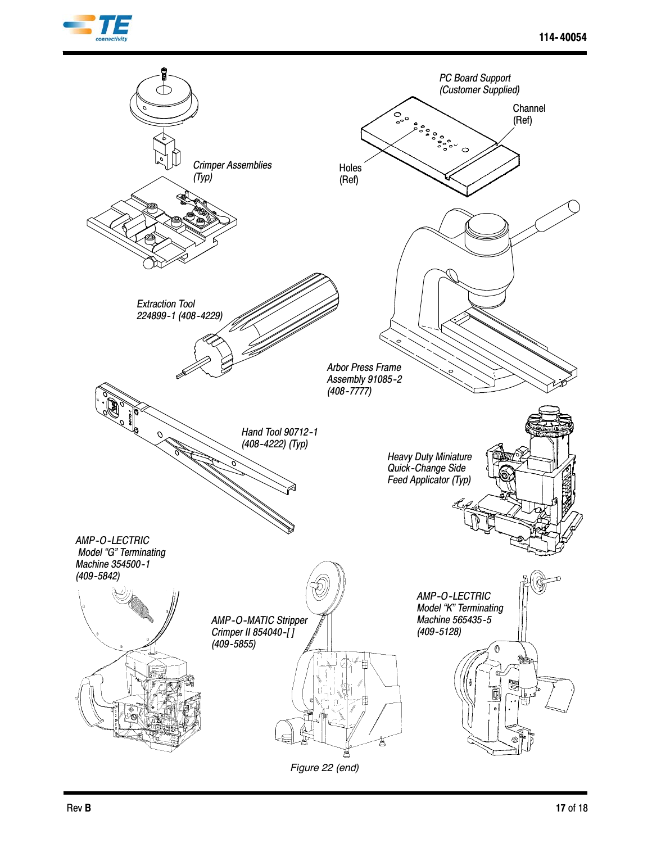